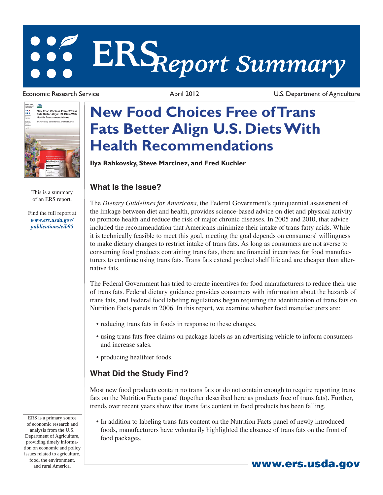# **ERS***Report Summary*

Joliad Siates<br>Ngarbinant of **USDA** New Food Choices Free of Trans<br>Fats Better Align U.S. Diets With<br>Health Recommendations ₩ sky, Steve Martinez, and Fred Kud

> This is a summary of an ERS report.

[Find the full report at](http://www.ers.usda.gov/publications/eib95)  *www.ers.usda.gov/ publications/eib95*

Economic Research Service April 2012 U.S. Department of Agriculture

## **New Food Choices Free of Trans Fats Better Align U.S. Diets With Health Recommendations**

**Ilya Rahkovsky, Steve Martinez, and Fred Kuchler**

#### **What Is the Issue?**

The *Dietary Guidelines for Americans*, the Federal Government's quinquennial assessment of the linkage between diet and health, provides science-based advice on diet and physical activity to promote health and reduce the risk of major chronic diseases. In 2005 and 2010, that advice included the recommendation that Americans minimize their intake of trans fatty acids. While it is technically feasible to meet this goal, meeting the goal depends on consumers' willingness to make dietary changes to restrict intake of trans fats. As long as consumers are not averse to consuming food products containing trans fats, there are financial incentives for food manufacturers to continue using trans fats. Trans fats extend product shelf life and are cheaper than alternative fats.

The Federal Government has tried to create incentives for food manufacturers to reduce their use of trans fats. Federal dietary guidance provides consumers with information about the hazards of trans fats, and Federal food labeling regulations began requiring the identification of trans fats on Nutrition Facts panels in 2006. In this report, we examine whether food manufacturers are:

- reducing trans fats in foods in response to these changes.
- using trans fats-free claims on package labels as an advertising vehicle to inform consumers and increase sales.
- producing healthier foods.

### **What Did the Study Find?**

Most new food products contain no trans fats or do not contain enough to require reporting trans fats on the Nutrition Facts panel (together described here as products free of trans fats). Further, trends over recent years show that trans fats content in food products has been falling.

• In addition to labeling trans fats content on the Nutrition Facts panel of newly introduced foods, manufacturers have voluntarily highlighted the absence of trans fats on the front of food packages.

ERS is a primary source of economic research and analysis from the U.S. Department of Agriculture, providing timely information on economic and policy issues related to agriculture, food, the environment, and rural America. **www.ers.usda.gov**